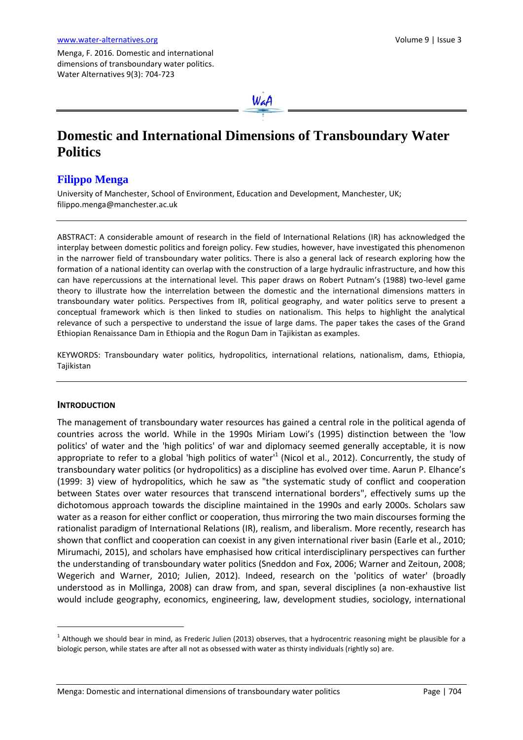Menga, F. 2016. Domestic and international dimensions of transboundary water politics. Water Alternatives 9(3): 704-723



# **Domestic and International Dimensions of Transboundary Water Politics**

# **Filippo Menga**

University of Manchester, School of Environment, Education and Development, Manchester, UK; [filippo.menga@manchester.ac.uk](mailto:filippo.menga@manchester.ac.uk)

ABSTRACT: A considerable amount of research in the field of International Relations (IR) has acknowledged the interplay between domestic politics and foreign policy. Few studies, however, have investigated this phenomenon in the narrower field of transboundary water politics. There is also a general lack of research exploring how the formation of a national identity can overlap with the construction of a large hydraulic infrastructure, and how this can have repercussions at the international level. This paper draws on Robert Putnam's (1988) two-level game theory to illustrate how the interrelation between the domestic and the international dimensions matters in transboundary water politics. Perspectives from IR, political geography, and water politics serve to present a conceptual framework which is then linked to studies on nationalism. This helps to highlight the analytical relevance of such a perspective to understand the issue of large dams. The paper takes the cases of the Grand Ethiopian Renaissance Dam in Ethiopia and the Rogun Dam in Tajikistan as examples.

KEYWORDS: Transboundary water politics, hydropolitics, international relations, nationalism, dams, Ethiopia, Tajikistan

#### **INTRODUCTION**

 $\overline{a}$ 

The management of transboundary water resources has gained a central role in the political agenda of countries across the world. While in the 1990s Miriam Lowi's (1995) distinction between the 'low politics' of water and the 'high politics' of war and diplomacy seemed generally acceptable, it is now appropriate to refer to a global 'high politics of water'<sup>1</sup> (Nicol et al., 2012). Concurrently, the study of transboundary water politics (or hydropolitics) as a discipline has evolved over time. Aarun P. Elhance's (1999: 3) view of hydropolitics, which he saw as "the systematic study of conflict and cooperation between States over water resources that transcend international borders", effectively sums up the dichotomous approach towards the discipline maintained in the 1990s and early 2000s. Scholars saw water as a reason for either conflict or cooperation, thus mirroring the two main discourses forming the rationalist paradigm of International Relations (IR), realism, and liberalism. More recently, research has shown that conflict and cooperation can coexist in any given international river basin (Earle et al., 2010; Mirumachi, 2015), and scholars have emphasised how critical interdisciplinary perspectives can further the understanding of transboundary water politics (Sneddon and Fox, 2006; Warner and Zeitoun, 2008; Wegerich and Warner, 2010; Julien, 2012). Indeed, research on the 'politics of water' (broadly understood as in Mollinga, 2008) can draw from, and span, several disciplines (a non-exhaustive list would include geography, economics, engineering, law, development studies, sociology, international

 $^{\rm 1}$  Although we should bear in mind, as Frederic Julien (2013) observes, that a hydrocentric reasoning might be plausible for a biologic person, while states are after all not as obsessed with water as thirsty individuals (rightly so) are.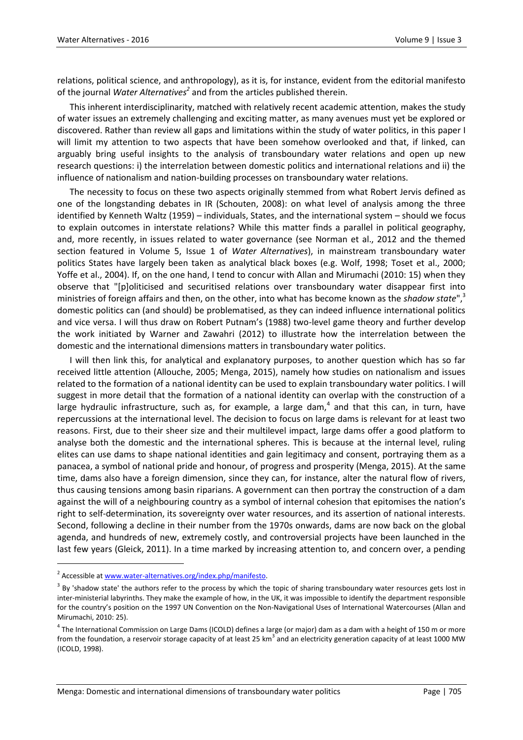relations, political science, and anthropology), as it is, for instance, evident from the editorial manifesto of the journal *Water Alternatives<sup>2</sup>* and from the articles published therein.

This inherent interdisciplinarity, matched with relatively recent academic attention, makes the study of water issues an extremely challenging and exciting matter, as many avenues must yet be explored or discovered. Rather than review all gaps and limitations within the study of water politics, in this paper I will limit my attention to two aspects that have been somehow overlooked and that, if linked, can arguably bring useful insights to the analysis of transboundary water relations and open up new research questions: i) the interrelation between domestic politics and international relations and ii) the influence of nationalism and nation-building processes on transboundary water relations.

The necessity to focus on these two aspects originally stemmed from what Robert Jervis defined as one of the longstanding debates in IR (Schouten, 2008): on what level of analysis among the three identified by Kenneth Waltz (1959) – individuals, States, and the international system – should we focus to explain outcomes in interstate relations? While this matter finds a parallel in political geography, and, more recently, in issues related to water governance (see Norman et al., 2012 and the themed section featured in Volume 5, Issue 1 of *Water Alternatives*), in mainstream transboundary water politics States have largely been taken as analytical black boxes (e.g. Wolf, 1998; Toset et al., 2000; Yoffe et al., 2004). If, on the one hand, I tend to concur with Allan and Mirumachi (2010: 15) when they observe that "[p]oliticised and securitised relations over transboundary water disappear first into ministries of foreign affairs and then, on the other, into what has become known as the *shadow state*", 3 domestic politics can (and should) be problematised, as they can indeed influence international politics and vice versa. I will thus draw on Robert Putnam's (1988) two-level game theory and further develop the work initiated by Warner and Zawahri (2012) to illustrate how the interrelation between the domestic and the international dimensions matters in transboundary water politics.

I will then link this, for analytical and explanatory purposes, to another question which has so far received little attention (Allouche, 2005; Menga, 2015), namely how studies on nationalism and issues related to the formation of a national identity can be used to explain transboundary water politics. I will suggest in more detail that the formation of a national identity can overlap with the construction of a large hydraulic infrastructure, such as, for example, a large dam,<sup>4</sup> and that this can, in turn, have repercussions at the international level. The decision to focus on large dams is relevant for at least two reasons. First, due to their sheer size and their multilevel impact, large dams offer a good platform to analyse both the domestic and the international spheres. This is because at the internal level, ruling elites can use dams to shape national identities and gain legitimacy and consent, portraying them as a panacea, a symbol of national pride and honour, of progress and prosperity (Menga, 2015). At the same time, dams also have a foreign dimension, since they can, for instance, alter the natural flow of rivers, thus causing tensions among basin riparians. A government can then portray the construction of a dam against the will of a neighbouring country as a symbol of internal cohesion that epitomises the nation's right to self-determination, its sovereignty over water resources, and its assertion of national interests. Second, following a decline in their number from the 1970s onwards, dams are now back on the global agenda, and hundreds of new, extremely costly, and controversial projects have been launched in the last few years (Gleick, 2011). In a time marked by increasing attention to, and concern over, a pending

1

<sup>&</sup>lt;sup>2</sup> Accessible at www.water-alternatives.org/index.php/manifesto.

 $3$  By 'shadow state' the authors refer to the process by which the topic of sharing transboundary water resources gets lost in inter-ministerial labyrinths. They make the example of how, in the UK, it was impossible to identify the department responsible for the country's position on the 1997 UN Convention on the Non-Navigational Uses of International Watercourses (Allan and Mirumachi, 2010: 25).

<sup>&</sup>lt;sup>4</sup> The International Commission on Large Dams (ICOLD) defines a large (or major) dam as a dam with a height of 150 m or more from the foundation, a reservoir storage capacity of at least 25 km<sup>3</sup> and an electricity generation capacity of at least 1000 MW (ICOLD, 1998).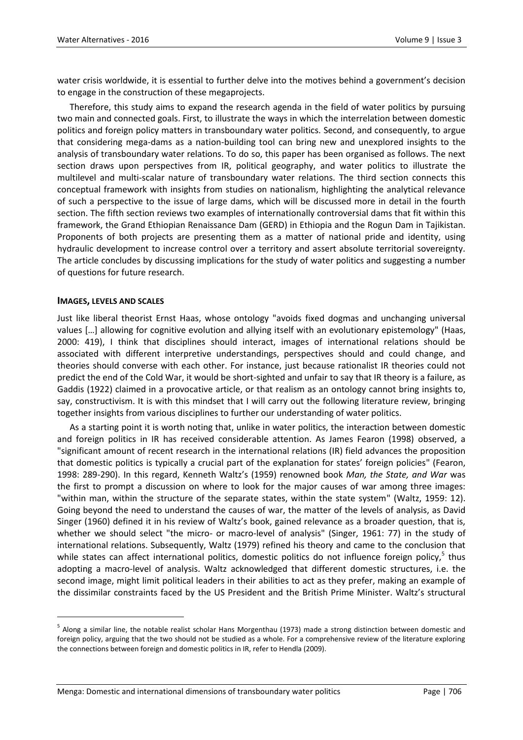water crisis worldwide, it is essential to further delve into the motives behind a government's decision to engage in the construction of these megaprojects.

Therefore, this study aims to expand the research agenda in the field of water politics by pursuing two main and connected goals. First, to illustrate the ways in which the interrelation between domestic politics and foreign policy matters in transboundary water politics. Second, and consequently, to argue that considering mega-dams as a nation-building tool can bring new and unexplored insights to the analysis of transboundary water relations. To do so, this paper has been organised as follows. The next section draws upon perspectives from IR, political geography, and water politics to illustrate the multilevel and multi-scalar nature of transboundary water relations. The third section connects this conceptual framework with insights from studies on nationalism, highlighting the analytical relevance of such a perspective to the issue of large dams, which will be discussed more in detail in the fourth section. The fifth section reviews two examples of internationally controversial dams that fit within this framework, the Grand Ethiopian Renaissance Dam (GERD) in Ethiopia and the Rogun Dam in Tajikistan. Proponents of both projects are presenting them as a matter of national pride and identity, using hydraulic development to increase control over a territory and assert absolute territorial sovereignty. The article concludes by discussing implications for the study of water politics and suggesting a number of questions for future research.

#### **IMAGES, LEVELS AND SCALES**

 $\overline{a}$ 

Just like liberal theorist Ernst Haas, whose ontology "avoids fixed dogmas and unchanging universal values [...] allowing for cognitive evolution and allying itself with an evolutionary epistemology" (Haas, 2000: 419), I think that disciplines should interact, images of international relations should be associated with different interpretive understandings, perspectives should and could change, and theories should converse with each other. For instance, just because rationalist IR theories could not predict the end of the Cold War, it would be short-sighted and unfair to say that IR theory is a failure, as Gaddis (1922) claimed in a provocative article, or that realism as an ontology cannot bring insights to, say, constructivism. It is with this mindset that I will carry out the following literature review, bringing together insights from various disciplines to further our understanding of water politics.

As a starting point it is worth noting that, unlike in water politics, the interaction between domestic and foreign politics in IR has received considerable attention. As James Fearon (1998) observed, a "significant amount of recent research in the international relations (IR) field advances the proposition that domestic politics is typically a crucial part of the explanation for states' foreign policies" (Fearon, 1998: 289-290). In this regard, Kenneth Waltz's (1959) renowned book *Man, the State, and War* was the first to prompt a discussion on where to look for the major causes of war among three images: "within man, within the structure of the separate states, within the state system" (Waltz, 1959: 12). Going beyond the need to understand the causes of war, the matter of the levels of analysis, as David Singer (1960) defined it in his review of Waltz's book, gained relevance as a broader question, that is, whether we should select "the micro- or macro-level of analysis" (Singer, 1961: 77) in the study of international relations. Subsequently, Waltz (1979) refined his theory and came to the conclusion that while states can affect international politics, domestic politics do not influence foreign policy,<sup>5</sup> thus adopting a macro-level of analysis. Waltz acknowledged that different domestic structures, i.e. the second image, might limit political leaders in their abilities to act as they prefer, making an example of the dissimilar constraints faced by the US President and the British Prime Minister. Waltz's structural

<sup>&</sup>lt;sup>5</sup> Along a similar line, the notable realist scholar Hans Morgenthau (1973) made a strong distinction between domestic and foreign policy, arguing that the two should not be studied as a whole. For a comprehensive review of the literature exploring the connections between foreign and domestic politics in IR, refer to Hendla (2009).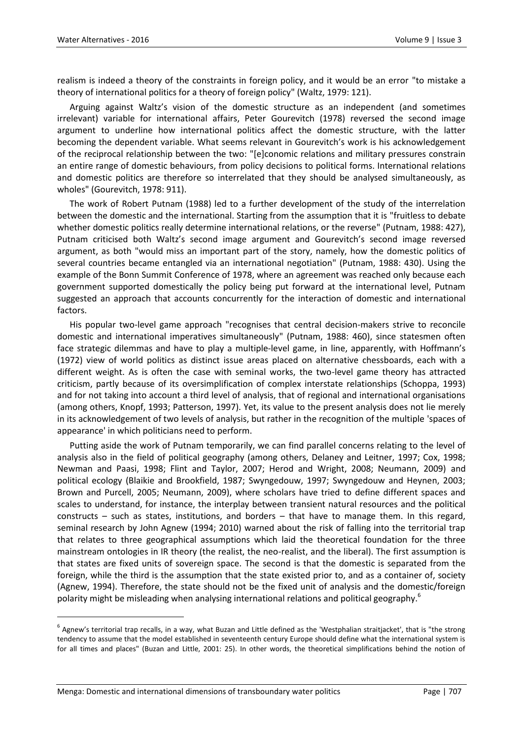realism is indeed a theory of the constraints in foreign policy, and it would be an error "to mistake a theory of international politics for a theory of foreign policy" (Waltz, 1979: 121).

Arguing against Waltz's vision of the domestic structure as an independent (and sometimes irrelevant) variable for international affairs, Peter Gourevitch (1978) reversed the second image argument to underline how international politics affect the domestic structure, with the latter becoming the dependent variable. What seems relevant in Gourevitch's work is his acknowledgement of the reciprocal relationship between the two: "[e]conomic relations and military pressures constrain an entire range of domestic behaviours, from policy decisions to political forms. International relations and domestic politics are therefore so interrelated that they should be analysed simultaneously, as wholes" (Gourevitch, 1978: 911).

The work of Robert Putnam (1988) led to a further development of the study of the interrelation between the domestic and the international. Starting from the assumption that it is "fruitless to debate whether domestic politics really determine international relations, or the reverse" (Putnam, 1988: 427), Putnam criticised both Waltz's second image argument and Gourevitch's second image reversed argument, as both "would miss an important part of the story, namely, how the domestic politics of several countries became entangled via an international negotiation" (Putnam, 1988: 430). Using the example of the Bonn Summit Conference of 1978, where an agreement was reached only because each government supported domestically the policy being put forward at the international level, Putnam suggested an approach that accounts concurrently for the interaction of domestic and international factors.

His popular two-level game approach "recognises that central decision-makers strive to reconcile domestic and international imperatives simultaneously" (Putnam, 1988: 460), since statesmen often face strategic dilemmas and have to play a multiple-level game, in line, apparently, with Hoffmann's (1972) view of world politics as distinct issue areas placed on alternative chessboards, each with a different weight. As is often the case with seminal works, the two-level game theory has attracted criticism, partly because of its oversimplification of complex interstate relationships (Schoppa, 1993) and for not taking into account a third level of analysis, that of regional and international organisations (among others, Knopf, 1993; Patterson, 1997). Yet, its value to the present analysis does not lie merely in its acknowledgement of two levels of analysis, but rather in the recognition of the multiple 'spaces of appearance' in which politicians need to perform.

Putting aside the work of Putnam temporarily, we can find parallel concerns relating to the level of analysis also in the field of political geography (among others, Delaney and Leitner, 1997; Cox, 1998; Newman and Paasi, 1998; Flint and Taylor, 2007; Herod and Wright, 2008; Neumann, 2009) and political ecology (Blaikie and Brookfield, 1987; Swyngedouw, 1997; Swyngedouw and Heynen, 2003; Brown and Purcell, 2005; Neumann, 2009), where scholars have tried to define different spaces and scales to understand, for instance, the interplay between transient natural resources and the political constructs – such as states, institutions, and borders – that have to manage them. In this regard, seminal research by John Agnew (1994; 2010) warned about the risk of falling into the territorial trap that relates to three geographical assumptions which laid the theoretical foundation for the three mainstream ontologies in IR theory (the realist, the neo-realist, and the liberal). The first assumption is that states are fixed units of sovereign space. The second is that the domestic is separated from the foreign, while the third is the assumption that the state existed prior to, and as a container of, society (Agnew, 1994). Therefore, the state should not be the fixed unit of analysis and the domestic/foreign polarity might be misleading when analysing international relations and political geography.<sup>6</sup>

 $\overline{a}$ 

 $^6$  Agnew's territorial trap recalls, in a way, what Buzan and Little defined as the 'Westphalian straitjacket', that is "the strong tendency to assume that the model established in seventeenth century Europe should define what the international system is for all times and places" (Buzan and Little, 2001: 25). In other words, the theoretical simplifications behind the notion of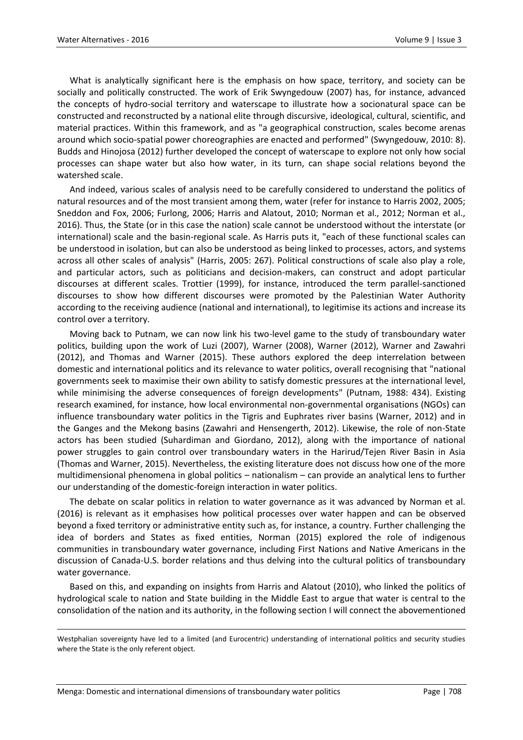What is analytically significant here is the emphasis on how space, territory, and society can be socially and politically constructed. The work of Erik Swyngedouw (2007) has, for instance, advanced the concepts of hydro-social territory and waterscape to illustrate how a socionatural space can be constructed and reconstructed by a national elite through discursive, ideological, cultural, scientific, and material practices. Within this framework, and as "a geographical construction, scales become arenas around which socio-spatial power choreographies are enacted and performed" (Swyngedouw, 2010: 8). Budds and Hinojosa (2012) further developed the concept of waterscape to explore not only how social processes can shape water but also how water, in its turn, can shape social relations beyond the watershed scale.

And indeed, various scales of analysis need to be carefully considered to understand the politics of natural resources and of the most transient among them, water (refer for instance to Harris 2002, 2005; Sneddon and Fox, 2006; Furlong, 2006; Harris and Alatout, 2010; Norman et al., 2012; Norman et al., 2016). Thus, the State (or in this case the nation) scale cannot be understood without the interstate (or international) scale and the basin-regional scale. As Harris puts it, "each of these functional scales can be understood in isolation, but can also be understood as being linked to processes, actors, and systems across all other scales of analysis" (Harris, 2005: 267). Political constructions of scale also play a role, and particular actors, such as politicians and decision-makers, can construct and adopt particular discourses at different scales. Trottier (1999), for instance, introduced the term parallel-sanctioned discourses to show how different discourses were promoted by the Palestinian Water Authority according to the receiving audience (national and international), to legitimise its actions and increase its control over a territory.

Moving back to Putnam, we can now link his two-level game to the study of transboundary water politics, building upon the work of Luzi (2007), Warner (2008), Warner (2012), Warner and Zawahri (2012), and Thomas and Warner (2015). These authors explored the deep interrelation between domestic and international politics and its relevance to water politics, overall recognising that "national governments seek to maximise their own ability to satisfy domestic pressures at the international level, while minimising the adverse consequences of foreign developments" (Putnam, 1988: 434). Existing research examined, for instance, how local environmental non-governmental organisations (NGOs) can influence transboundary water politics in the Tigris and Euphrates river basins (Warner, 2012) and in the Ganges and the Mekong basins (Zawahri and Hensengerth, 2012). Likewise, the role of non-State actors has been studied (Suhardiman and Giordano, 2012), along with the importance of national power struggles to gain control over transboundary waters in the Harirud/Tejen River Basin in Asia (Thomas and Warner, 2015). Nevertheless, the existing literature does not discuss how one of the more multidimensional phenomena in global politics – nationalism – can provide an analytical lens to further our understanding of the domestic-foreign interaction in water politics.

The debate on scalar politics in relation to water governance as it was advanced by Norman et al. (2016) is relevant as it emphasises how political processes over water happen and can be observed beyond a fixed territory or administrative entity such as, for instance, a country. Further challenging the idea of borders and States as fixed entities, Norman (2015) explored the role of indigenous communities in transboundary water governance, including First Nations and Native Americans in the discussion of Canada-U.S. border relations and thus delving into the cultural politics of transboundary water governance.

Based on this, and expanding on insights from Harris and Alatout (2010), who linked the politics of hydrological scale to nation and State building in the Middle East to argue that water is central to the consolidation of the nation and its authority, in the following section I will connect the abovementioned

1

Westphalian sovereignty have led to a limited (and Eurocentric) understanding of international politics and security studies where the State is the only referent object.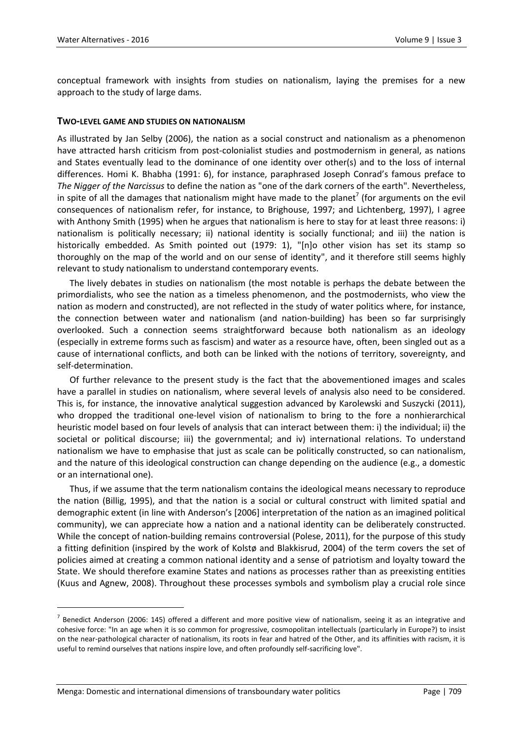conceptual framework with insights from studies on nationalism, laying the premises for a new approach to the study of large dams.

#### **TWO-LEVEL GAME AND STUDIES ON NATIONALISM**

As illustrated by Jan Selby (2006), the nation as a social construct and nationalism as a phenomenon have attracted harsh criticism from post-colonialist studies and postmodernism in general, as nations and States eventually lead to the dominance of one identity over other(s) and to the loss of internal differences. Homi K. Bhabha (1991: 6), for instance, paraphrased Joseph Conrad's famous preface to *The Nigger of the Narcissus* to define the nation as "one of the dark corners of the earth". Nevertheless, in spite of all the damages that nationalism might have made to the planet<sup>7</sup> (for arguments on the evil consequences of nationalism refer, for instance, to Brighouse, 1997; and Lichtenberg, 1997), I agree with Anthony Smith (1995) when he argues that nationalism is here to stay for at least three reasons: i) nationalism is politically necessary; ii) national identity is socially functional; and iii) the nation is historically embedded. As Smith pointed out (1979: 1), "[n]o other vision has set its stamp so thoroughly on the map of the world and on our sense of identity", and it therefore still seems highly relevant to study nationalism to understand contemporary events.

The lively debates in studies on nationalism (the most notable is perhaps the debate between the primordialists, who see the nation as a timeless phenomenon, and the postmodernists, who view the nation as modern and constructed), are not reflected in the study of water politics where, for instance, the connection between water and nationalism (and nation-building) has been so far surprisingly overlooked. Such a connection seems straightforward because both nationalism as an ideology (especially in extreme forms such as fascism) and water as a resource have, often, been singled out as a cause of international conflicts, and both can be linked with the notions of territory, sovereignty, and self-determination.

Of further relevance to the present study is the fact that the abovementioned images and scales have a parallel in studies on nationalism, where several levels of analysis also need to be considered. This is, for instance, the innovative analytical suggestion advanced by Karolewski and Suszycki (2011), who dropped the traditional one-level vision of nationalism to bring to the fore a nonhierarchical heuristic model based on four levels of analysis that can interact between them: i) the individual; ii) the societal or political discourse; iii) the governmental; and iv) international relations. To understand nationalism we have to emphasise that just as scale can be politically constructed, so can nationalism, and the nature of this ideological construction can change depending on the audience (e.g., a domestic or an international one).

Thus, if we assume that the term nationalism contains the ideological means necessary to reproduce the nation (Billig, 1995), and that the nation is a social or cultural construct with limited spatial and demographic extent (in line with Anderson's [2006] interpretation of the nation as an imagined political community), we can appreciate how a nation and a national identity can be deliberately constructed. While the concept of nation-building remains controversial (Polese, 2011), for the purpose of this study a fitting definition (inspired by the work of Kolstø and Blakkisrud, 2004) of the term covers the set of policies aimed at creating a common national identity and a sense of patriotism and loyalty toward the State. We should therefore examine States and nations as processes rather than as preexisting entities (Kuus and Agnew, 2008). Throughout these processes symbols and symbolism play a crucial role since

 $\overline{a}$ 

 $^7$  Benedict Anderson (2006: 145) offered a different and more positive view of nationalism, seeing it as an integrative and cohesive force: "In an age when it is so common for progressive, cosmopolitan intellectuals (particularly in Europe?) to insist on the near-pathological character of nationalism, its roots in fear and hatred of the Other, and its affinities with racism, it is useful to remind ourselves that nations inspire love, and often profoundly self-sacrificing love".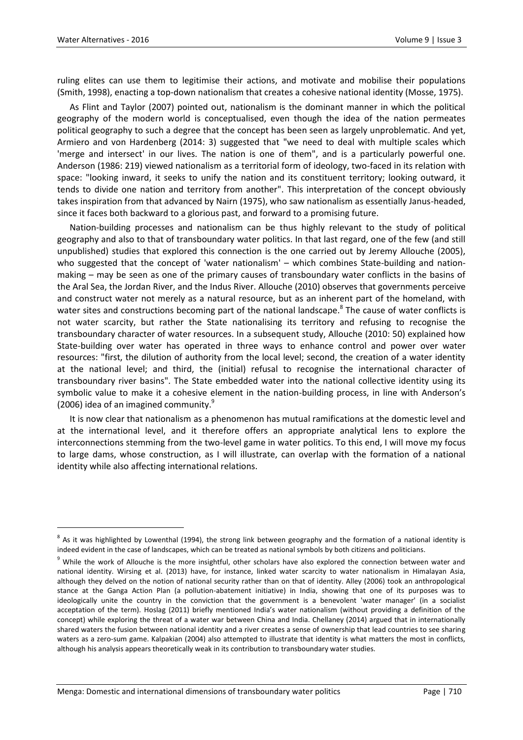1

ruling elites can use them to legitimise their actions, and motivate and mobilise their populations (Smith, 1998), enacting a top-down nationalism that creates a cohesive national identity (Mosse, 1975).

As Flint and Taylor (2007) pointed out, nationalism is the dominant manner in which the political geography of the modern world is conceptualised, even though the idea of the nation permeates political geography to such a degree that the concept has been seen as largely unproblematic. And yet, Armiero and von Hardenberg (2014: 3) suggested that "we need to deal with multiple scales which 'merge and intersect' in our lives. The nation is one of them", and is a particularly powerful one. Anderson (1986: 219) viewed nationalism as a territorial form of ideology, two-faced in its relation with space: "looking inward, it seeks to unify the nation and its constituent territory; looking outward, it tends to divide one nation and territory from another". This interpretation of the concept obviously takes inspiration from that advanced by Nairn (1975), who saw nationalism as essentially Janus-headed, since it faces both backward to a glorious past, and forward to a promising future.

Nation-building processes and nationalism can be thus highly relevant to the study of political geography and also to that of transboundary water politics. In that last regard, one of the few (and still unpublished) studies that explored this connection is the one carried out by Jeremy Allouche (2005), who suggested that the concept of 'water nationalism' - which combines State-building and nationmaking – may be seen as one of the primary causes of transboundary water conflicts in the basins of the Aral Sea, the Jordan River, and the Indus River. Allouche (2010) observes that governments perceive and construct water not merely as a natural resource, but as an inherent part of the homeland, with water sites and constructions becoming part of the national landscape.<sup>8</sup> The cause of water conflicts is not water scarcity, but rather the State nationalising its territory and refusing to recognise the transboundary character of water resources. In a subsequent study, Allouche (2010: 50) explained how State-building over water has operated in three ways to enhance control and power over water resources: "first, the dilution of authority from the local level; second, the creation of a water identity at the national level; and third, the (initial) refusal to recognise the international character of transboundary river basins". The State embedded water into the national collective identity using its symbolic value to make it a cohesive element in the nation-building process, in line with Anderson's (2006) idea of an imagined community. $9$ 

It is now clear that nationalism as a phenomenon has mutual ramifications at the domestic level and at the international level, and it therefore offers an appropriate analytical lens to explore the interconnections stemming from the two-level game in water politics. To this end, I will move my focus to large dams, whose construction, as I will illustrate, can overlap with the formation of a national identity while also affecting international relations.

 $^8$  As it was highlighted by Lowenthal (1994), the strong link between geography and the formation of a national identity is indeed evident in the case of landscapes, which can be treated as national symbols by both citizens and politicians.

<sup>&</sup>lt;sup>9</sup> While the work of Allouche is the more insightful, other scholars have also explored the connection between water and national identity. Wirsing et al. (2013) have, for instance, linked water scarcity to water nationalism in Himalayan Asia, although they delved on the notion of national security rather than on that of identity. Alley (2006) took an anthropological stance at the Ganga Action Plan (a pollution-abatement initiative) in India, showing that one of its purposes was to ideologically unite the country in the conviction that the government is a benevolent 'water manager' (in a socialist acceptation of the term). Hoslag (2011) briefly mentioned India's water nationalism (without providing a definition of the concept) while exploring the threat of a water war between China and India. Chellaney (2014) argued that in internationally shared waters the fusion between national identity and a river creates a sense of ownership that lead countries to see sharing waters as a zero-sum game. Kalpakian (2004) also attempted to illustrate that identity is what matters the most in conflicts, although his analysis appears theoretically weak in its contribution to transboundary water studies.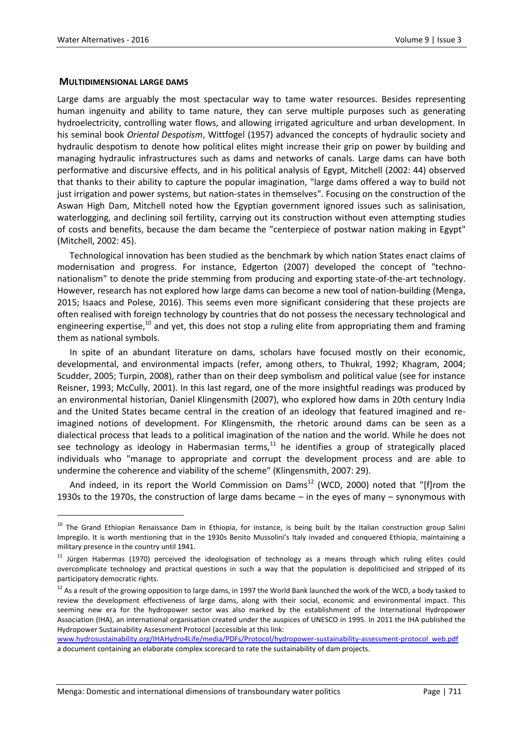$\overline{a}$ 

#### **MULTIDIMENSIONAL LARGE DAMS**

Large dams are arguably the most spectacular way to tame water resources. Besides representing human ingenuity and ability to tame nature, they can serve multiple purposes such as generating hydroelectricity, controlling water flows, and allowing irrigated agriculture and urban development. In his seminal book *Oriental Despotism*, Wittfogel (1957) advanced the concepts of hydraulic society and hydraulic despotism to denote how political elites might increase their grip on power by building and managing hydraulic infrastructures such as dams and networks of canals. Large dams can have both performative and discursive effects, and in his political analysis of Egypt, Mitchell (2002: 44) observed that thanks to their ability to capture the popular imagination, "large dams offered a way to build not just irrigation and power systems, but nation-states in themselves". Focusing on the construction of the Aswan High Dam, Mitchell noted how the Egyptian government ignored issues such as salinisation, waterlogging, and declining soil fertility, carrying out its construction without even attempting studies of costs and benefits, because the dam became the "centerpiece of postwar nation making in Egypt" (Mitchell, 2002: 45).

Technological innovation has been studied as the benchmark by which nation States enact claims of modernisation and progress. For instance, Edgerton (2007) developed the concept of "technonationalism" to denote the pride stemming from producing and exporting state-of-the-art technology. However, research has not explored how large dams can become a new tool of nation-building (Menga, 2015; Isaacs and Polese, 2016). This seems even more significant considering that these projects are often realised with foreign technology by countries that do not possess the necessary technological and engineering expertise, $10$  and yet, this does not stop a ruling elite from appropriating them and framing them as national symbols.

In spite of an abundant literature on dams, scholars have focused mostly on their economic, developmental, and environmental impacts (refer, among others, to Thukral, 1992; Khagram, 2004; Scudder, 2005; Turpin, 2008), rather than on their deep symbolism and political value (see for instance Reisner, 1993; McCully, 2001). In this last regard, one of the more insightful readings was produced by an environmental historian, Daniel Klingensmith (2007), who explored how dams in 20th century India and the United States became central in the creation of an ideology that featured imagined and reimagined notions of development. For Klingensmith, the rhetoric around dams can be seen as a dialectical process that leads to a political imagination of the nation and the world. While he does not see technology as ideology in Habermasian terms, $11$  he identifies a group of strategically placed individuals who "manage to appropriate and corrupt the development process and are able to undermine the coherence and viability of the scheme" (Klingensmith, 2007: 29).

And indeed, in its report the World Commission on Dams<sup>12</sup> (WCD, 2000) noted that "[f]rom the 1930s to the 1970s, the construction of large dams became – in the eyes of many – synonymous with

<sup>&</sup>lt;sup>10</sup> The Grand Ethiopian Renaissance Dam in Ethiopia, for instance, is being built by the Italian construction group Salini Impregilo. It is worth mentioning that in the 1930s Benito Mussolini's Italy invaded and conquered Ethiopia, maintaining a military presence in the country until 1941.

<sup>&</sup>lt;sup>11</sup> Jürgen Habermas (1970) perceived the ideologisation of technology as a means through which ruling elites could overcomplicate technology and practical questions in such a way that the population is depoliticised and stripped of its participatory democratic rights.

 $12$  As a result of the growing opposition to large dams, in 1997 the World Bank launched the work of the WCD, a body tasked to review the development effectiveness of large dams, along with their social, economic and environmental impact. This seeming new era for the hydropower sector was also marked by the establishment of the International Hydropower Association (IHA), an international organisation created under the auspices of UNESCO in 1995. In 2011 the IHA published the Hydropower Sustainability Assessment Protocol (accessible at this link:

[www.hydrosustainability.org/IHAHydro4Life/media/PDFs/Protocol/hydropower-sustainability-assessment-protocol\\_web.pdf](http://www.hydrosustainability.org/IHAHydro4Life/media/PDFs/Protocol/hydropower-sustainability-assessment-protocol_web.pdf) a document containing an elaborate complex scorecard to rate the sustainability of dam projects.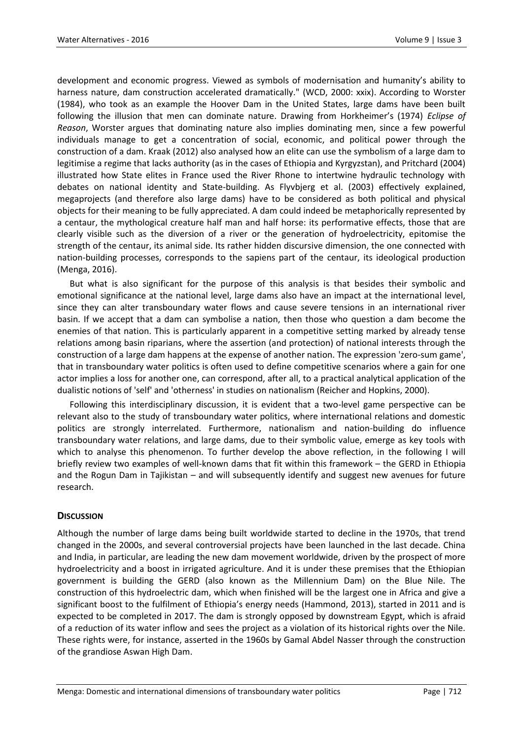development and economic progress. Viewed as symbols of modernisation and humanity's ability to harness nature, dam construction accelerated dramatically." (WCD, 2000: xxix). According to Worster (1984), who took as an example the Hoover Dam in the United States, large dams have been built following the illusion that men can dominate nature. Drawing from Horkheimer's (1974) *Eclipse of Reason*, Worster argues that dominating nature also implies dominating men, since a few powerful individuals manage to get a concentration of social, economic, and political power through the construction of a dam. Kraak (2012) also analysed how an elite can use the symbolism of a large dam to legitimise a regime that lacks authority (as in the cases of Ethiopia and Kyrgyzstan), and Pritchard (2004) illustrated how State elites in France used the River Rhone to intertwine hydraulic technology with debates on national identity and State-building. As Flyvbjerg et al. (2003) effectively explained, megaprojects (and therefore also large dams) have to be considered as both political and physical objects for their meaning to be fully appreciated. A dam could indeed be metaphorically represented by a centaur, the mythological creature half man and half horse: its performative effects, those that are clearly visible such as the diversion of a river or the generation of hydroelectricity, epitomise the strength of the centaur, its animal side. Its rather hidden discursive dimension, the one connected with nation-building processes, corresponds to the sapiens part of the centaur, its ideological production (Menga, 2016).

But what is also significant for the purpose of this analysis is that besides their symbolic and emotional significance at the national level, large dams also have an impact at the international level, since they can alter transboundary water flows and cause severe tensions in an international river basin. If we accept that a dam can symbolise a nation, then those who question a dam become the enemies of that nation. This is particularly apparent in a competitive setting marked by already tense relations among basin riparians, where the assertion (and protection) of national interests through the construction of a large dam happens at the expense of another nation. The expression 'zero-sum game', that in transboundary water politics is often used to define competitive scenarios where a gain for one actor implies a loss for another one, can correspond, after all, to a practical analytical application of the dualistic notions of 'self' and 'otherness' in studies on nationalism (Reicher and Hopkins, 2000).

Following this interdisciplinary discussion, it is evident that a two-level game perspective can be relevant also to the study of transboundary water politics, where international relations and domestic politics are strongly interrelated. Furthermore, nationalism and nation-building do influence transboundary water relations, and large dams, due to their symbolic value, emerge as key tools with which to analyse this phenomenon. To further develop the above reflection, in the following I will briefly review two examples of well-known dams that fit within this framework – the GERD in Ethiopia and the Rogun Dam in Tajikistan – and will subsequently identify and suggest new avenues for future research.

## **DISCUSSION**

Although the number of large dams being built worldwide started to decline in the 1970s, that trend changed in the 2000s, and several controversial projects have been launched in the last decade. China and India, in particular, are leading the new dam movement worldwide, driven by the prospect of more hydroelectricity and a boost in irrigated agriculture. And it is under these premises that the Ethiopian government is building the GERD (also known as the Millennium Dam) on the Blue Nile. The construction of this hydroelectric dam, which when finished will be the largest one in Africa and give a significant boost to the fulfilment of Ethiopia's energy needs (Hammond, 2013), started in 2011 and is expected to be completed in 2017. The dam is strongly opposed by downstream Egypt, which is afraid of a reduction of its water inflow and sees the project as a violation of its historical rights over the Nile. These rights were, for instance, asserted in the 1960s by Gamal Abdel Nasser through the construction of the grandiose Aswan High Dam.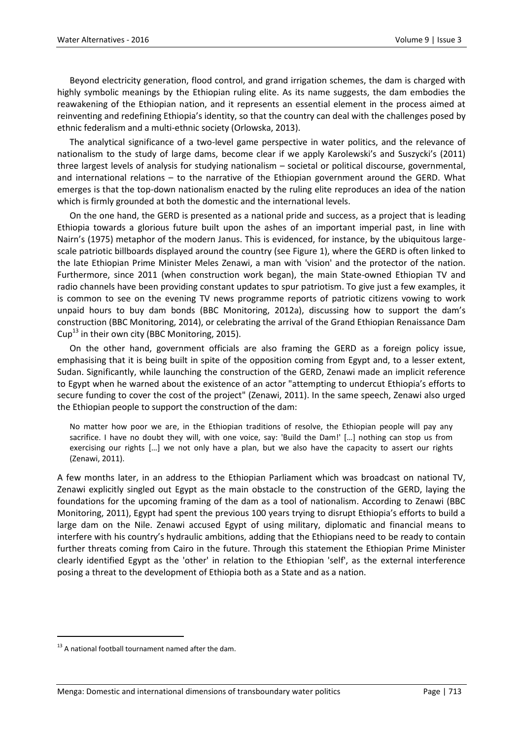Beyond electricity generation, flood control, and grand irrigation schemes, the dam is charged with highly symbolic meanings by the Ethiopian ruling elite. As its name suggests, the dam embodies the reawakening of the Ethiopian nation, and it represents an essential element in the process aimed at reinventing and redefining Ethiopia's identity, so that the country can deal with the challenges posed by ethnic federalism and a multi-ethnic society (Orlowska, 2013).

The analytical significance of a two-level game perspective in water politics, and the relevance of nationalism to the study of large dams, become clear if we apply Karolewski's and Suszycki's (2011) three largest levels of analysis for studying nationalism – societal or political discourse, governmental, and international relations – to the narrative of the Ethiopian government around the GERD. What emerges is that the top-down nationalism enacted by the ruling elite reproduces an idea of the nation which is firmly grounded at both the domestic and the international levels.

On the one hand, the GERD is presented as a national pride and success, as a project that is leading Ethiopia towards a glorious future built upon the ashes of an important imperial past, in line with Nairn's (1975) metaphor of the modern Janus. This is evidenced, for instance, by the ubiquitous largescale patriotic billboards displayed around the country (see Figure 1), where the GERD is often linked to the late Ethiopian Prime Minister Meles Zenawi, a man with 'vision' and the protector of the nation. Furthermore, since 2011 (when construction work began), the main State-owned Ethiopian TV and radio channels have been providing constant updates to spur patriotism. To give just a few examples, it is common to see on the evening TV news programme reports of patriotic citizens vowing to work unpaid hours to buy dam bonds (BBC Monitoring, 2012a), discussing how to support the dam's construction (BBC Monitoring, 2014), or celebrating the arrival of the Grand Ethiopian Renaissance Dam Cup<sup>13</sup> in their own city (BBC Monitoring, 2015).

On the other hand, government officials are also framing the GERD as a foreign policy issue, emphasising that it is being built in spite of the opposition coming from Egypt and, to a lesser extent, Sudan. Significantly, while launching the construction of the GERD, Zenawi made an implicit reference to Egypt when he warned about the existence of an actor "attempting to undercut Ethiopia's efforts to secure funding to cover the cost of the project" (Zenawi, 2011). In the same speech, Zenawi also urged the Ethiopian people to support the construction of the dam:

No matter how poor we are, in the Ethiopian traditions of resolve, the Ethiopian people will pay any sacrifice. I have no doubt they will, with one voice, say: 'Build the Dam!' […] nothing can stop us from exercising our rights […] we not only have a plan, but we also have the capacity to assert our rights (Zenawi, 2011).

A few months later, in an address to the Ethiopian Parliament which was broadcast on national TV, Zenawi explicitly singled out Egypt as the main obstacle to the construction of the GERD, laying the foundations for the upcoming framing of the dam as a tool of nationalism. According to Zenawi (BBC Monitoring, 2011), Egypt had spent the previous 100 years trying to disrupt Ethiopia's efforts to build a large dam on the Nile. Zenawi accused Egypt of using military, diplomatic and financial means to interfere with his country's hydraulic ambitions, adding that the Ethiopians need to be ready to contain further threats coming from Cairo in the future. Through this statement the Ethiopian Prime Minister clearly identified Egypt as the 'other' in relation to the Ethiopian 'self', as the external interference posing a threat to the development of Ethiopia both as a State and as a nation.

 $\overline{a}$ 

 $13$  A national football tournament named after the dam.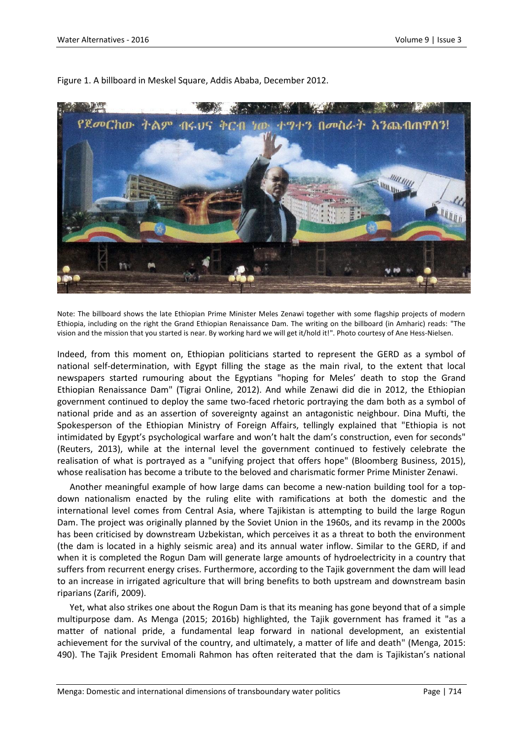

Figure 1. A billboard in Meskel Square, Addis Ababa, December 2012.

Note: The billboard shows the late Ethiopian Prime Minister Meles Zenawi together with some flagship projects of modern Ethiopia, including on the right the Grand Ethiopian Renaissance Dam. The writing on the billboard (in Amharic) reads: "The vision and the mission that you started is near. By working hard we will get it/hold it!". Photo courtesy of Ane Hess-Nielsen.

Indeed, from this moment on, Ethiopian politicians started to represent the GERD as a symbol of national self-determination, with Egypt filling the stage as the main rival, to the extent that local newspapers started rumouring about the Egyptians "hoping for Meles' death to stop the Grand Ethiopian Renaissance Dam" (Tigrai Online, 2012). And while Zenawi did die in 2012, the Ethiopian government continued to deploy the same two-faced rhetoric portraying the dam both as a symbol of national pride and as an assertion of sovereignty against an antagonistic neighbour. Dina Mufti, the Spokesperson of the Ethiopian Ministry of Foreign Affairs, tellingly explained that "Ethiopia is not intimidated by Egypt's psychological warfare and won't halt the dam's construction, even for seconds" (Reuters, 2013), while at the internal level the government continued to festively celebrate the realisation of what is portrayed as a "unifying project that offers hope" (Bloomberg Business, 2015), whose realisation has become a tribute to the beloved and charismatic former Prime Minister Zenawi.

Another meaningful example of how large dams can become a new-nation building tool for a topdown nationalism enacted by the ruling elite with ramifications at both the domestic and the international level comes from Central Asia, where Tajikistan is attempting to build the large Rogun Dam. The project was originally planned by the Soviet Union in the 1960s, and its revamp in the 2000s has been criticised by downstream Uzbekistan, which perceives it as a threat to both the environment (the dam is located in a highly seismic area) and its annual water inflow. Similar to the GERD, if and when it is completed the Rogun Dam will generate large amounts of hydroelectricity in a country that suffers from recurrent energy crises. Furthermore, according to the Tajik government the dam will lead to an increase in irrigated agriculture that will bring benefits to both upstream and downstream basin riparians (Zarifi, 2009).

Yet, what also strikes one about the Rogun Dam is that its meaning has gone beyond that of a simple multipurpose dam. As Menga (2015; 2016b) highlighted, the Tajik government has framed it "as a matter of national pride, a fundamental leap forward in national development, an existential achievement for the survival of the country, and ultimately, a matter of life and death" (Menga, 2015: 490). The Tajik President Emomali Rahmon has often reiterated that the dam is Tajikistan's national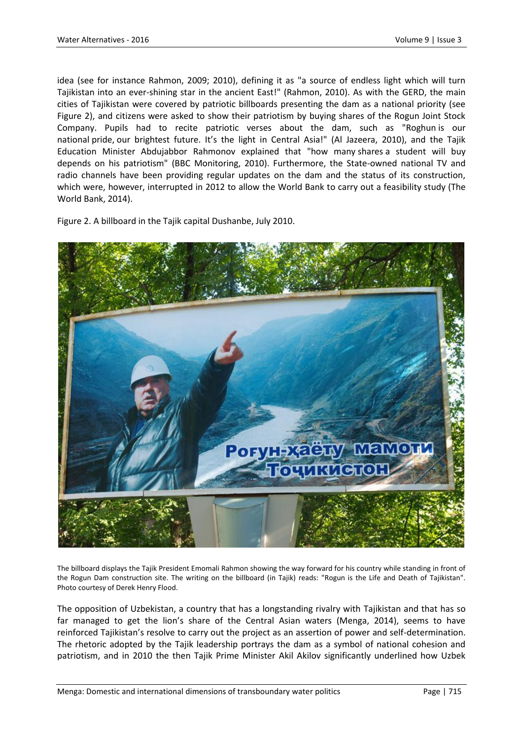idea (see for instance Rahmon, 2009; 2010), defining it as "a source of endless light which will turn Tajikistan into an ever-shining star in the ancient East!" (Rahmon, 2010). As with the GERD, the main cities of Tajikistan were covered by patriotic billboards presenting the dam as a national priority (see Figure 2), and citizens were asked to show their patriotism by buying shares of the Rogun Joint Stock Company. Pupils had to recite patriotic verses about the dam, such as "Roghun is our national pride, our brightest future. It's the light in Central Asia!" (Al Jazeera, 2010), and the Tajik Education Minister Abdujabbor Rahmonov explained that "how many shares a student will buy depends on his patriotism" (BBC Monitoring, 2010). Furthermore, the State-owned national TV and radio channels have been providing regular updates on the dam and the status of its construction, which were, however, interrupted in 2012 to allow the World Bank to carry out a feasibility study (The World Bank, 2014).

Figure 2. A billboard in the Tajik capital Dushanbe, July 2010.



The billboard displays the Tajik President Emomali Rahmon showing the way forward for his country while standing in front of the Rogun Dam construction site. The writing on the billboard (in Tajik) reads: "Rogun is the Life and Death of Tajikistan". Photo courtesy of Derek Henry Flood.

The opposition of Uzbekistan, a country that has a longstanding rivalry with Tajikistan and that has so far managed to get the lion's share of the Central Asian waters (Menga, 2014), seems to have reinforced Tajikistan's resolve to carry out the project as an assertion of power and self-determination. The rhetoric adopted by the Tajik leadership portrays the dam as a symbol of national cohesion and patriotism, and in 2010 the then Tajik Prime Minister Akil Akilov significantly underlined how Uzbek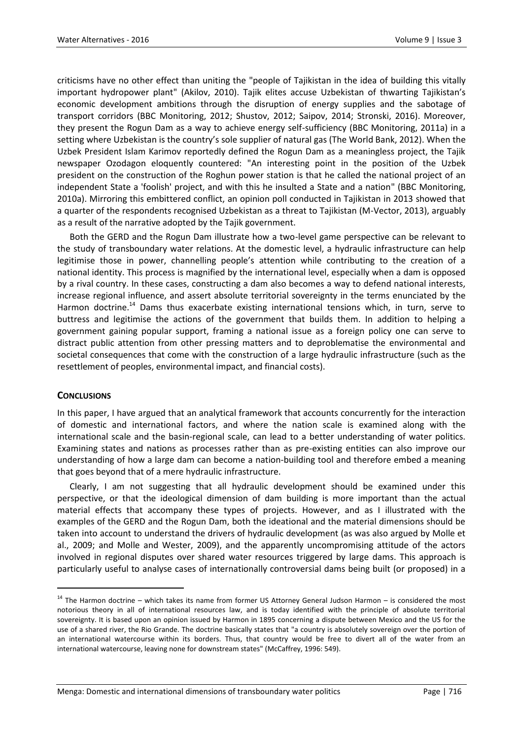criticisms have no other effect than uniting the "people of Tajikistan in the idea of building this vitally important hydropower plant" (Akilov, 2010). Tajik elites accuse Uzbekistan of thwarting Tajikistan's economic development ambitions through the disruption of energy supplies and the sabotage of transport corridors (BBC Monitoring, 2012; Shustov, 2012; Saipov, 2014; Stronski, 2016). Moreover, they present the Rogun Dam as a way to achieve energy self-sufficiency (BBC Monitoring, 2011a) in a setting where Uzbekistan is the country's sole supplier of natural gas (The World Bank, 2012). When the Uzbek President Islam Karimov reportedly defined the Rogun Dam as a meaningless project, the Tajik newspaper Ozodagon eloquently countered: "An interesting point in the position of the Uzbek president on the construction of the Roghun power station is that he called the national project of an independent State a 'foolish' project, and with this he insulted a State and a nation" (BBC Monitoring, 2010a). Mirroring this embittered conflict, an opinion poll conducted in Tajikistan in 2013 showed that a quarter of the respondents recognised Uzbekistan as a threat to Tajikistan (M-Vector, 2013), arguably as a result of the narrative adopted by the Tajik government.

Both the GERD and the Rogun Dam illustrate how a two-level game perspective can be relevant to the study of transboundary water relations. At the domestic level, a hydraulic infrastructure can help legitimise those in power, channelling people's attention while contributing to the creation of a national identity. This process is magnified by the international level, especially when a dam is opposed by a rival country. In these cases, constructing a dam also becomes a way to defend national interests, increase regional influence, and assert absolute territorial sovereignty in the terms enunciated by the Harmon doctrine.<sup>14</sup> Dams thus exacerbate existing international tensions which, in turn, serve to buttress and legitimise the actions of the government that builds them. In addition to helping a government gaining popular support, framing a national issue as a foreign policy one can serve to distract public attention from other pressing matters and to deproblematise the environmental and societal consequences that come with the construction of a large hydraulic infrastructure (such as the resettlement of peoples, environmental impact, and financial costs).

## **CONCLUSIONS**

 $\overline{a}$ 

In this paper, I have argued that an analytical framework that accounts concurrently for the interaction of domestic and international factors, and where the nation scale is examined along with the international scale and the basin-regional scale, can lead to a better understanding of water politics. Examining states and nations as processes rather than as pre-existing entities can also improve our understanding of how a large dam can become a nation-building tool and therefore embed a meaning that goes beyond that of a mere hydraulic infrastructure.

Clearly, I am not suggesting that all hydraulic development should be examined under this perspective, or that the ideological dimension of dam building is more important than the actual material effects that accompany these types of projects. However, and as I illustrated with the examples of the GERD and the Rogun Dam, both the ideational and the material dimensions should be taken into account to understand the drivers of hydraulic development (as was also argued by Molle et al., 2009; and Molle and Wester, 2009), and the apparently uncompromising attitude of the actors involved in regional disputes over shared water resources triggered by large dams. This approach is particularly useful to analyse cases of internationally controversial dams being built (or proposed) in a

 $14$  The Harmon doctrine – which takes its name from former US Attorney General Judson Harmon – is considered the most notorious theory in all of international resources law, and is today identified with the principle of absolute territorial sovereignty. It is based upon an opinion issued by Harmon in 1895 concerning a dispute between Mexico and the US for the use of a shared river, the Rio Grande. The doctrine basically states that "a country is absolutely sovereign over the portion of an international watercourse within its borders. Thus, that country would be free to divert all of the water from an international watercourse, leaving none for downstream states" (McCaffrey, 1996: 549).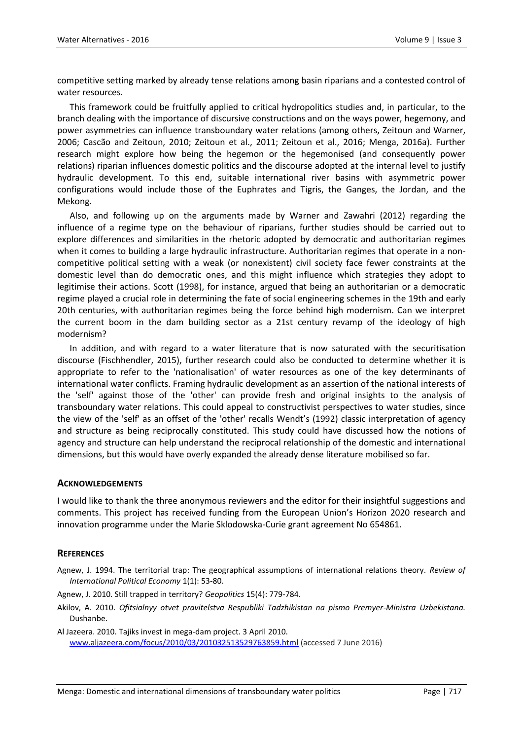competitive setting marked by already tense relations among basin riparians and a contested control of water resources.

This framework could be fruitfully applied to critical hydropolitics studies and, in particular, to the branch dealing with the importance of discursive constructions and on the ways power, hegemony, and power asymmetries can influence transboundary water relations (among others, Zeitoun and Warner, 2006; Cascão and Zeitoun, 2010; Zeitoun et al., 2011; Zeitoun et al., 2016; Menga, 2016a). Further research might explore how being the hegemon or the hegemonised (and consequently power relations) riparian influences domestic politics and the discourse adopted at the internal level to justify hydraulic development. To this end, suitable international river basins with asymmetric power configurations would include those of the Euphrates and Tigris, the Ganges, the Jordan, and the Mekong.

Also, and following up on the arguments made by Warner and Zawahri (2012) regarding the influence of a regime type on the behaviour of riparians, further studies should be carried out to explore differences and similarities in the rhetoric adopted by democratic and authoritarian regimes when it comes to building a large hydraulic infrastructure. Authoritarian regimes that operate in a noncompetitive political setting with a weak (or nonexistent) civil society face fewer constraints at the domestic level than do democratic ones, and this might influence which strategies they adopt to legitimise their actions. Scott (1998), for instance, argued that being an authoritarian or a democratic regime played a crucial role in determining the fate of social engineering schemes in the 19th and early 20th centuries, with authoritarian regimes being the force behind high modernism. Can we interpret the current boom in the dam building sector as a 21st century revamp of the ideology of high modernism?

In addition, and with regard to a water literature that is now saturated with the securitisation discourse (Fischhendler, 2015), further research could also be conducted to determine whether it is appropriate to refer to the 'nationalisation' of water resources as one of the key determinants of international water conflicts. Framing hydraulic development as an assertion of the national interests of the 'self' against those of the 'other' can provide fresh and original insights to the analysis of transboundary water relations. This could appeal to constructivist perspectives to water studies, since the view of the 'self' as an offset of the 'other' recalls Wendt's (1992) classic interpretation of agency and structure as being reciprocally constituted. This study could have discussed how the notions of agency and structure can help understand the reciprocal relationship of the domestic and international dimensions, but this would have overly expanded the already dense literature mobilised so far.

#### **ACKNOWLEDGEMENTS**

I would like to thank the three anonymous reviewers and the editor for their insightful suggestions and comments. This project has received funding from the European Union's Horizon 2020 research and innovation programme under the Marie Sklodowska-Curie grant agreement No 654861.

#### **REFERENCES**

- Agnew, J. 1994. The territorial trap: The geographical assumptions of international relations theory. *Review of International Political Economy* 1(1): 53-80.
- Agnew, J. 2010. Still trapped in territory? *Geopolitics* 15(4): 779-784.
- Akilov, A. 2010. *Ofitsialnyy otvet pravitelstva Respubliki Tadzhikistan na pismo Premyer-Ministra Uzbekistana.*  Dushanbe.

Al Jazeera. 2010. Tajiks invest in mega-dam project. 3 April 2010. [www.aljazeera.com/focus/2010/03/201032513529763859.html](http://www.aljazeera.com/focus/2010/03/201032513529763859.html) (accessed 7 June 2016)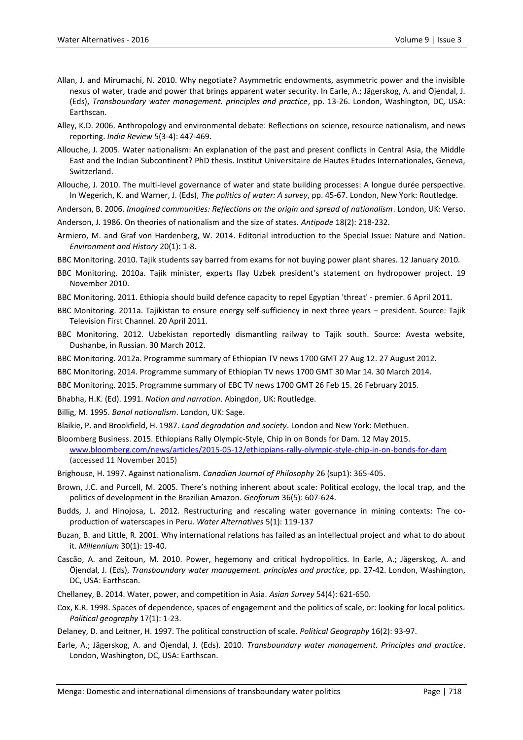- Allan, J. and Mirumachi, N. 2010. Why negotiate? Asymmetric endowments, asymmetric power and the invisible nexus of water, trade and power that brings apparent water security. In Earle, A.; Jägerskog, A. and Öjendal, J. (Eds), *Transboundary water management. principles and practice*, pp. 13-26. London, Washington, DC, USA: Earthscan.
- Alley, K.D. 2006. Anthropology and environmental debate: Reflections on science, resource nationalism, and news reporting. *India Review* 5(3-4): 447-469.
- Allouche, J. 2005. Water nationalism: An explanation of the past and present conflicts in Central Asia, the Middle East and the Indian Subcontinent? PhD thesis. Institut Universitaire de Hautes Etudes Internationales, Geneva, Switzerland.

Allouche, J. 2010. The multi-level governance of water and state building processes: A longue durée perspective. In Wegerich, K. and Warner, J. (Eds), *The politics of water: A survey*, pp. 45-67. London, New York: Routledge.

Anderson, B. 2006. *Imagined communities: Reflections on the origin and spread of nationalism*. London, UK: Verso.

Anderson, J. 1986. On theories of nationalism and the size of states. *Antipode* 18(2): 218-232.

Armiero, M. and Graf von Hardenberg, W. 2014. Editorial introduction to the Special Issue: Nature and Nation. *Environment and History* 20(1): 1-8.

BBC Monitoring. 2010. Tajik students say barred from exams for not buying power plant shares. 12 January 2010.

- BBC Monitoring. 2010a. Tajik minister, experts flay Uzbek president's statement on hydropower project. 19 November 2010.
- BBC Monitoring. 2011. Ethiopia should build defence capacity to repel Egyptian 'threat' premier. 6 April 2011.
- BBC Monitoring. 2011a. Tajikistan to ensure energy self-sufficiency in next three years president. Source: Tajik Television First Channel. 20 April 2011.
- BBC Monitoring. 2012. Uzbekistan reportedly dismantling railway to Tajik south. Source: Avesta website, Dushanbe, in Russian. 30 March 2012.
- BBC Monitoring. 2012a. Programme summary of Ethiopian TV news 1700 GMT 27 Aug 12. 27 August 2012.
- BBC Monitoring. 2014. Programme summary of Ethiopian TV news 1700 GMT 30 Mar 14. 30 March 2014.
- BBC Monitoring. 2015. Programme summary of EBC TV news 1700 GMT 26 Feb 15. 26 February 2015.
- Bhabha, H.K. (Ed). 1991. *Nation and narration*. Abingdon, UK: Routledge.

Billig, M. 1995. *Banal nationalism*. London, UK: Sage.

Blaikie, P. and Brookfield, H. 1987. *Land degradation and society*. London and New York: Methuen.

Bloomberg Business. 2015. Ethiopians Rally Olympic-Style, Chip in on Bonds for Dam. 12 May 2015. [www.bloomberg.com/news/articles/2015-05-12/ethiopians-rally-olympic-style-chip-in-on-bonds-for-dam](http://www.bloomberg.com/news/articles/2015-05-12/ethiopians-rally-olympic-style-chip-in-on-bonds-for-dam) (accessed 11 November 2015)

- Brighouse, H. 1997. Against nationalism. *Canadian Journal of Philosophy* 26 (sup1): 365-405.
- Brown, J.C. and Purcell, M. 2005. There's nothing inherent about scale: Political ecology, the local trap, and the politics of development in the Brazilian Amazon. *Geoforum* 36(5): 607-624.
- Budds, J. and Hinojosa, L. 2012. Restructuring and rescaling water governance in mining contexts: The coproduction of waterscapes in Peru. *Water Alternatives* 5(1): 119-137
- Buzan, B. and Little, R. 2001. Why international relations has failed as an intellectual project and what to do about it. *Millennium* 30(1): 19-40.
- Cascão, A. and Zeitoun, M. 2010. Power, hegemony and critical hydropolitics. In Earle, A.; Jägerskog, A. and Öjendal, J. (Eds), *Transboundary water management. principles and practice*, pp. 27-42. London, Washington, DC, USA: Earthscan.
- Chellaney, B. 2014. Water, power, and competition in Asia. *Asian Survey* 54(4): 621-650.
- Cox, K.R. 1998. Spaces of dependence, spaces of engagement and the politics of scale, or: looking for local politics. *Political geography* 17(1): 1-23.

Delaney, D. and Leitner, H. 1997. The political construction of scale. *Political Geography* 16(2): 93-97.

Earle, A.; Jägerskog, A. and Öjendal, J. (Eds). 2010. *Transboundary water management. Principles and practice*. London, Washington, DC, USA: Earthscan.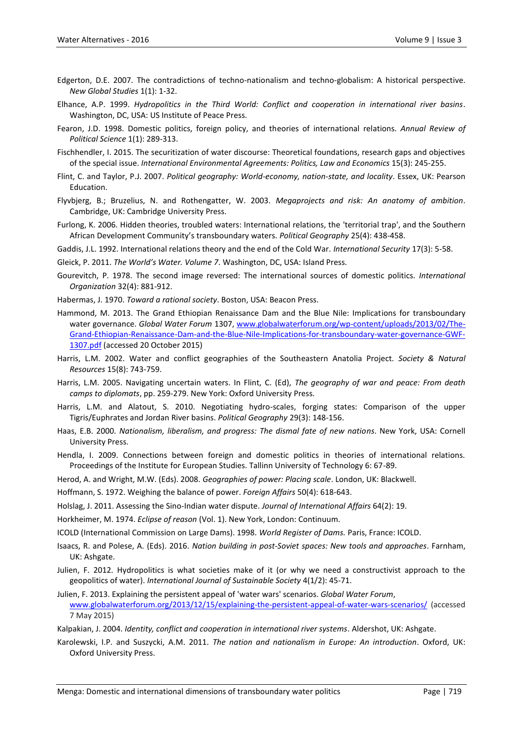- Edgerton, D.E. 2007. The contradictions of techno-nationalism and techno-globalism: A historical perspective. *New Global Studies* 1(1): 1-32.
- Elhance, A.P. 1999. *Hydropolitics in the Third World: Conflict and cooperation in international river basins*. Washington, DC, USA: US Institute of Peace Press.
- Fearon, J.D. 1998. Domestic politics, foreign policy, and theories of international relations. *Annual Review of Political Science* 1(1): 289-313.
- Fischhendler, I. 2015. The securitization of water discourse: Theoretical foundations, research gaps and objectives of the special issue. *International Environmental Agreements: Politics, Law and Economics* 15(3): 245-255.
- Flint, C. and Taylor, P.J. 2007. *Political geography: World-economy, nation-state, and locality*. Essex, UK: Pearson Education.
- Flyvbjerg, B.; Bruzelius, N. and Rothengatter, W. 2003. *Megaprojects and risk: An anatomy of ambition*. Cambridge, UK: Cambridge University Press.
- Furlong, K. 2006. Hidden theories, troubled waters: International relations, the 'territorial trap', and the Southern African Development Community's transboundary waters. *Political Geography* 25(4): 438-458.
- Gaddis, J.L. 1992. International relations theory and the end of the Cold War. *International Security* 17(3): 5-58.
- Gleick, P. 2011. *The World's Water. Volume 7*. Washington, DC, USA: Island Press.
- Gourevitch, P. 1978. The second image reversed: The international sources of domestic politics. *International Organization* 32(4): 881-912.
- Habermas, J. 1970. *Toward a rational society*. Boston, USA: Beacon Press.
- Hammond, M. 2013. The Grand Ethiopian Renaissance Dam and the Blue Nile: Implications for transboundary water governance. *Global Water Forum* 1307, [www.globalwaterforum.org/wp-content/uploads/2013/02/The-](http://www.globalwaterforum.org/wp-content/uploads/2013/02/The-Grand-Ethiopian-Renaissance-Dam-and-the-Blue-Nile-Implications-for-transboundary-water-governance-GWF-1307.pdf)[Grand-Ethiopian-Renaissance-Dam-and-the-Blue-Nile-Implications-for-transboundary-water-governance-GWF-](http://www.globalwaterforum.org/wp-content/uploads/2013/02/The-Grand-Ethiopian-Renaissance-Dam-and-the-Blue-Nile-Implications-for-transboundary-water-governance-GWF-1307.pdf)[1307.pdf](http://www.globalwaterforum.org/wp-content/uploads/2013/02/The-Grand-Ethiopian-Renaissance-Dam-and-the-Blue-Nile-Implications-for-transboundary-water-governance-GWF-1307.pdf) (accessed 20 October 2015)
- Harris, L.M. 2002. Water and conflict geographies of the Southeastern Anatolia Project. *Society & Natural Resources* 15(8): 743-759.
- Harris, L.M. 2005. Navigating uncertain waters. In Flint, C. (Ed), *The geography of war and peace: From death camps to diplomats*, pp. 259-279. New York: Oxford University Press.
- Harris, L.M. and Alatout, S. 2010. Negotiating hydro-scales, forging states: Comparison of the upper Tigris/Euphrates and Jordan River basins. *Political Geography* 29(3): 148-156.
- Haas, E.B. 2000. *Nationalism, liberalism, and progress: The dismal fate of new nations*. New York, USA: Cornell University Press.
- Hendla, I. 2009. Connections between foreign and domestic politics in theories of international relations. Proceedings of the Institute for European Studies. Tallinn University of Technology 6: 67-89.
- Herod, A. and Wright, M.W. (Eds). 2008. *Geographies of power: Placing scale*. London, UK: Blackwell.
- Hoffmann, S. 1972. Weighing the balance of power. *Foreign Affairs* 50(4): 618-643.
- Holslag, J. 2011. Assessing the Sino-Indian water dispute. *Journal of International Affairs* 64(2): 19.
- Horkheimer, M. 1974. *Eclipse of reason* (Vol. 1). New York, London: Continuum.
- ICOLD (International Commission on Large Dams). 1998. *World Register of Dams.* Paris, France: ICOLD.
- Isaacs, R. and Polese, A. (Eds). 2016. *Nation building in post-Soviet spaces: New tools and approaches*. Farnham, UK: Ashgate.
- Julien, F. 2012. Hydropolitics is what societies make of it (or why we need a constructivist approach to the geopolitics of water). *International Journal of Sustainable Society* 4(1/2): 45-71.
- Julien, F. 2013. Explaining the persistent appeal of 'water wars' scenarios. *Global Water Forum*, [www.globalwaterforum.org/2013/12/15/explaining-the-persistent-appeal-of-water-wars-scenarios/](http://www.globalwaterforum.org/2013/12/15/explaining-the-persistent-appeal-of-water-wars-scenarios/) (accessed 7 May 2015)
- Kalpakian, J. 2004. *Identity, conflict and cooperation in international river systems*. Aldershot, UK: Ashgate.
- Karolewski, I.P. and Suszycki, A.M. 2011. *The nation and nationalism in Europe: An introduction*. Oxford, UK: Oxford University Press.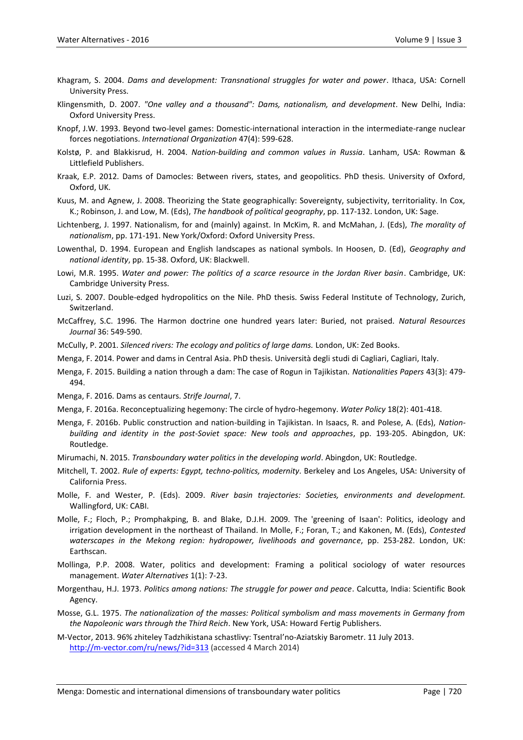- Khagram, S. 2004. *Dams and development: Transnational struggles for water and power*. Ithaca, USA: Cornell University Press.
- Klingensmith, D. 2007. *"One valley and a thousand": Dams, nationalism, and development*. New Delhi, India: Oxford University Press.
- Knopf, J.W. 1993. Beyond two-level games: Domestic-international interaction in the intermediate-range nuclear forces negotiations. *International Organization* 47(4): 599-628.
- Kolstø, P. and Blakkisrud, H. 2004. *Nation-building and common values in Russia*. Lanham, USA: Rowman & Littlefield Publishers.
- Kraak, E.P. 2012. Dams of Damocles: Between rivers, states, and geopolitics. PhD thesis. University of Oxford, Oxford, UK.
- Kuus, M. and Agnew, J. 2008. Theorizing the State geographically: Sovereignty, subjectivity, territoriality. In Cox, K.; Robinson, J. and Low, M. (Eds), *The handbook of political geography*, pp. 117-132. London, UK: Sage.
- Lichtenberg, J. 1997. Nationalism, for and (mainly) against. In McKim, R. and McMahan, J. (Eds), *The morality of nationalism*, pp. 171-191. New York/Oxford: Oxford University Press.
- Lowenthal, D. 1994. European and English landscapes as national symbols. In Hoosen, D. (Ed), *Geography and national identity*, pp. 15-38. Oxford, UK: Blackwell.
- Lowi, M.R. 1995. *Water and power: The politics of a scarce resource in the Jordan River basin*. Cambridge, UK: Cambridge University Press.
- Luzi, S. 2007. Double-edged hydropolitics on the Nile. PhD thesis. Swiss Federal Institute of Technology, Zurich, Switzerland.
- McCaffrey, S.C. 1996. The Harmon doctrine one hundred years later: Buried, not praised. *Natural Resources Journal* 36: 549-590.
- McCully, P. 2001. *Silenced rivers: The ecology and politics of large dams.* London, UK: Zed Books.
- Menga, F. 2014. Power and dams in Central Asia. PhD thesis. Università degli studi di Cagliari, Cagliari, Italy.
- Menga, F. 2015. Building a nation through a dam: The case of Rogun in Tajikistan. *Nationalities Papers* 43(3): 479- 494.
- Menga, F. 2016. Dams as centaurs. *Strife Journal*, 7.
- Menga, F. 2016a. Reconceptualizing hegemony: The circle of hydro-hegemony. *Water Policy* 18(2): 401-418.
- Menga, F. 2016b. Public construction and nation-building in Tajikistan. In Isaacs, R. and Polese, A. (Eds), *Nationbuilding and identity in the post-Soviet space: New tools and approaches*, pp. 193-205. Abingdon, UK: Routledge.
- Mirumachi, N. 2015. *Transboundary water politics in the developing world*. Abingdon, UK: Routledge.
- Mitchell, T. 2002. *Rule of experts: Egypt, techno-politics, modernity*. Berkeley and Los Angeles, USA: University of California Press.
- Molle, F. and Wester, P. (Eds). 2009. *River basin trajectories: Societies, environments and development.* Wallingford, UK: CABI.
- Molle, F.; Floch, P.; Promphakping, B. and Blake, D.J.H. 2009. The 'greening of Isaan': Politics, ideology and irrigation development in the northeast of Thailand. In Molle, F.; Foran, T.; and Kakonen, M. (Eds), *Contested waterscapes in the Mekong region: hydropower, livelihoods and governance*, pp. 253-282. London, UK: Earthscan.
- Mollinga, P.P. 2008. Water, politics and development: Framing a political sociology of water resources management. *Water Alternatives* 1(1): 7‐23.
- Morgenthau, H.J. 1973. *Politics among nations: The struggle for power and peace*. Calcutta, India: Scientific Book Agency.
- Mosse, G.L. 1975. *The nationalization of the masses: Political symbolism and mass movements in Germany from the Napoleonic wars through the Third Reich*. New York, USA: Howard Fertig Publishers.
- M-Vector, 2013. 96% zhiteley Tadzhikistana schastlivy: Tsentral'no-Aziatskiy Barometr. 11 July 2013. <http://m-vector.com/ru/news/?id=313> (accessed 4 March 2014)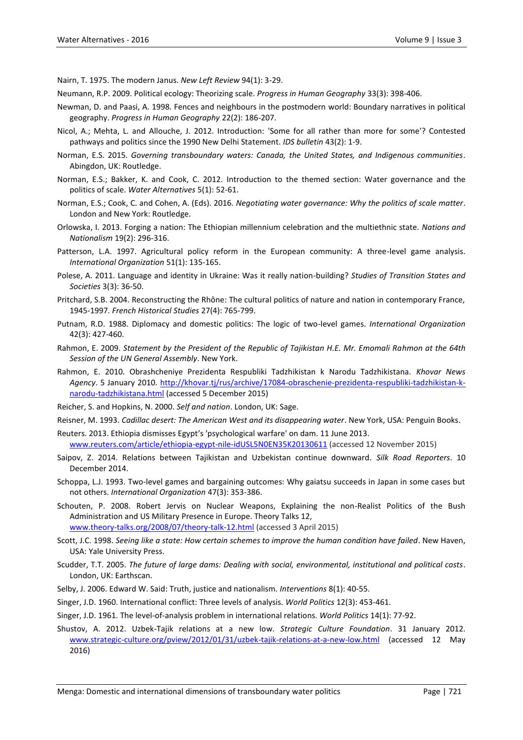Nairn, T. 1975. The modern Janus. *New Left Review* 94(1): 3-29.

- Neumann, R.P. 2009. Political ecology: Theorizing scale. *Progress in Human Geography* 33(3): 398-406.
- Newman, D. and Paasi, A. 1998. Fences and neighbours in the postmodern world: Boundary narratives in political geography. *Progress in Human Geography* 22(2): 186-207.
- Nicol, A.; Mehta, L. and Allouche, J. 2012. Introduction: 'Some for all rather than more for some'? Contested pathways and politics since the 1990 New Delhi Statement. *IDS bulletin* 43(2): 1-9.
- Norman, E.S. 2015. *Governing transboundary waters: Canada, the United States, and Indigenous communities*. Abingdon, UK: Routledge.
- Norman, E.S.; Bakker, K. and Cook, C. 2012. Introduction to the themed section: Water governance and the politics of scale. *Water Alternatives* 5(1): 52-61.
- Norman, E.S.; Cook, C. and Cohen, A. (Eds). 2016. *Negotiating water governance: Why the politics of scale matter*. London and New York: Routledge.
- Orlowska, I. 2013. Forging a nation: The Ethiopian millennium celebration and the multiethnic state. *Nations and Nationalism* 19(2): 296-316.
- Patterson, L.A. 1997. Agricultural policy reform in the European community: A three-level game analysis. *International Organization* 51(1): 135-165.
- Polese, A. 2011. Language and identity in Ukraine: Was it really nation-building? *Studies of Transition States and Societies* 3(3): 36-50.
- Pritchard, S.B. 2004. Reconstructing the Rhône: The cultural politics of nature and nation in contemporary France, 1945-1997. *French Historical Studies* 27(4): 765-799.
- Putnam, R.D. 1988. Diplomacy and domestic politics: The logic of two-level games. *International Organization* 42(3): 427-460.
- Rahmon, E. 2009. *Statement by the President of the Republic of Tajikistan H.E. Mr. Emomali Rahmon at the 64th Session of the UN General Assembly*. New York.
- Rahmon, E. 2010. Obrashcheniye Prezidenta Respubliki Tadzhikistan k Narodu Tadzhikistana. *Khovar News Agency*. 5 January 2010. [http://khovar.tj/rus/archive/17084-obraschenie-prezidenta-respubliki-tadzhikistan-k](http://khovar.tj/rus/archive/17084-obraschenie-prezidenta-respubliki-tadzhikistan-k-narodu-tadzhikistana.html)[narodu-tadzhikistana.html](http://khovar.tj/rus/archive/17084-obraschenie-prezidenta-respubliki-tadzhikistan-k-narodu-tadzhikistana.html) (accessed 5 December 2015)
- Reicher, S. and Hopkins, N. 2000. *Self and nation*. London, UK: Sage.
- Reisner, M. 1993. *Cadillac desert: The American West and its disappearing water*. New York, USA: Penguin Books.
- Reuters. 2013. Ethiopia dismisses Egypt's 'psychological warfare' on dam. 11 June 2013. [www.reuters.com/article/ethiopia-egypt-nile-idUSL5N0EN35K20130611](http://www.reuters.com/article/ethiopia-egypt-nile-idUSL5N0EN35K20130611) (accessed 12 November 2015)
- Saipov, Z. 2014. Relations between Tajikistan and Uzbekistan continue downward. *Silk Road Reporters*. 10 December 2014.
- Schoppa, L.J. 1993. Two-level games and bargaining outcomes: Why gaiatsu succeeds in Japan in some cases but not others. *International Organization* 47(3): 353-386.
- Schouten, P. 2008. Robert Jervis on Nuclear Weapons, Explaining the non-Realist Politics of the Bush Administration and US Military Presence in Europe. Theory Talks 12, [www.theory-talks.org/2008/07/theory-talk-12.html](http://www.theory-talks.org/2008/07/theory-talk-12.html) (accessed 3 April 2015)
- Scott, J.C. 1998. *Seeing like a state: How certain schemes to improve the human condition have failed*. New Haven, USA: Yale University Press.
- Scudder, T.T. 2005. *The future of large dams: Dealing with social, environmental, institutional and political costs*. London, UK: Earthscan.
- Selby, J. 2006. Edward W. Said: Truth, justice and nationalism. *Interventions* 8(1): 40-55.
- Singer, J.D. 1960. International conflict: Three levels of analysis. *World Politics* 12(3): 453-461.
- Singer, J.D. 1961. The level-of-analysis problem in international relations. *World Politics* 14(1): 77-92.
- Shustov, A. 2012. Uzbek-Tajik relations at a new low. *Strategic Culture Foundation*. 31 January 2012. [www.strategic-culture.org/pview/2012/01/31/uzbek-tajik-relations-at-a-new-low.html](http://www.strategic-culture.org/pview/2012/01/31/uzbek-tajik-relations-at-a-new-low.html) (accessed 12 May 2016)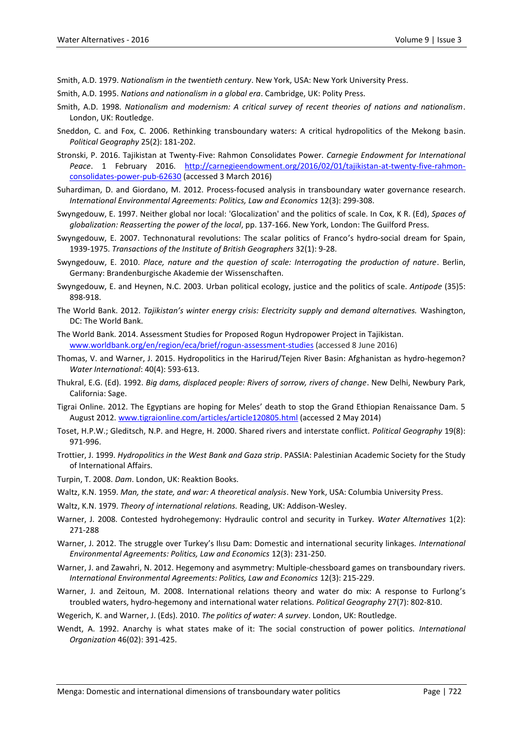Smith, A.D. 1979. *Nationalism in the twentieth century*. New York, USA: New York University Press.

- Smith, A.D. 1995. *Nations and nationalism in a global era*. Cambridge, UK: Polity Press.
- Smith, A.D. 1998. *Nationalism and modernism: A critical survey of recent theories of nations and nationalism*. London, UK: Routledge.
- Sneddon, C. and Fox, C. 2006. Rethinking transboundary waters: A critical hydropolitics of the Mekong basin. *Political Geography* 25(2): 181-202.
- Stronski, P. 2016. Tajikistan at Twenty-Five: Rahmon Consolidates Power. *Carnegie Endowment for International Peace*. 1 February 2016. [http://carnegieendowment.org/2016/02/01/tajikistan-at-twenty-five-rahmon](http://carnegieendowment.org/2016/02/01/tajikistan-at-twenty-five-rahmon-consolidates-power-pub-62630)[consolidates-power-pub-62630](http://carnegieendowment.org/2016/02/01/tajikistan-at-twenty-five-rahmon-consolidates-power-pub-62630) (accessed 3 March 2016)
- Suhardiman, D. and Giordano, M. 2012. Process-focused analysis in transboundary water governance research. *International Environmental Agreements: Politics, Law and Economics* 12(3): 299-308.
- Swyngedouw, E. 1997. Neither global nor local: 'Glocalization' and the politics of scale. In Cox, K R. (Ed), *Spaces of globalization: Reasserting the power of the local*, pp. 137-166. New York, London: The Guilford Press.
- Swyngedouw, E. 2007. Technonatural revolutions: The scalar politics of Franco's hydro‐social dream for Spain, 1939-1975. *Transactions of the Institute of British Geographers* 32(1): 9-28.
- Swyngedouw, E. 2010. *Place, nature and the question of scale: Interrogating the production of nature*. Berlin, Germany: Brandenburgische Akademie der Wissenschaften.
- Swyngedouw, E. and Heynen, N.C. 2003. Urban political ecology, justice and the politics of scale. *Antipode* (35)5: 898-918.
- The World Bank. 2012. *Tajikistan's winter energy crisis: Electricity supply and demand alternatives.* Washington, DC: The World Bank.
- The World Bank. 2014. Assessment Studies for Proposed Rogun Hydropower Project in Tajikistan. [www.worldbank.org/en/region/eca/brief/rogun-assessment-studies](http://www.worldbank.org/en/region/eca/brief/rogun-assessment-studies) (accessed 8 June 2016)
- Thomas, V. and Warner, J. 2015. Hydropolitics in the Harirud/Tejen River Basin: Afghanistan as hydro-hegemon? *Water International*: 40(4): 593-613.
- Thukral, E.G. (Ed). 1992. *Big dams, displaced people: Rivers of sorrow, rivers of change*. New Delhi, Newbury Park, California: Sage.
- Tigrai Online. 2012. The Egyptians are hoping for Meles' death to stop the Grand Ethiopian Renaissance Dam. 5 August 2012. [www.tigraionline.com/articles/article120805.html](http://www.tigraionline.com/articles/article120805.html) (accessed 2 May 2014)
- Toset, H.P.W.; Gleditsch, N.P. and Hegre, H. 2000. Shared rivers and interstate conflict. *Political Geography* 19(8): 971-996.
- Trottier, J. 1999. *Hydropolitics in the West Bank and Gaza strip*. PASSIA: Palestinian Academic Society for the Study of International Affairs.
- Turpin, T. 2008. *Dam*. London, UK: Reaktion Books.
- Waltz, K.N. 1959. *Man, the state, and war: A theoretical analysis*. New York, USA: Columbia University Press.
- Waltz, K.N. 1979. *Theory of international relations.* Reading, UK: Addison-Wesley.
- Warner, J. 2008. Contested hydrohegemony: Hydraulic control and security in Turkey. *Water Alternatives* 1(2): 271-288
- Warner, J. 2012. The struggle over Turkey's Ilısu Dam: Domestic and international security linkages. *International Environmental Agreements: Politics, Law and Economics* 12(3): 231-250.
- Warner, J. and Zawahri, N. 2012. Hegemony and asymmetry: Multiple-chessboard games on transboundary rivers. *International Environmental Agreements: Politics, Law and Economics* 12(3): 215-229.
- Warner, J. and Zeitoun, M. 2008. International relations theory and water do mix: A response to Furlong's troubled waters, hydro-hegemony and international water relations. *Political Geography* 27(7): 802-810.
- Wegerich, K. and Warner, J. (Eds). 2010. *The politics of water: A survey*. London, UK: Routledge.
- Wendt, A. 1992. Anarchy is what states make of it: The social construction of power politics. *International Organization* 46(02): 391-425.